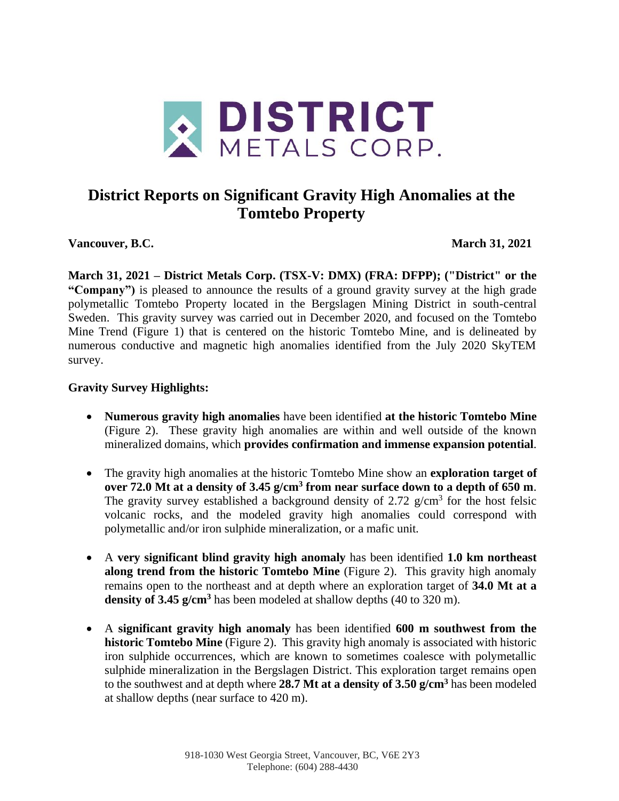

# **District Reports on Significant Gravity High Anomalies at the Tomtebo Property**

**Vancouver, B.C. March 31, 2021**

**March 31, 2021 – District Metals Corp. (TSX-V: DMX) (FRA: DFPP); ("District" or the "Company")** is pleased to announce the results of a ground gravity survey at the high grade polymetallic Tomtebo Property located in the Bergslagen Mining District in south-central Sweden. This gravity survey was carried out in December 2020, and focused on the Tomtebo Mine Trend (Figure 1) that is centered on the historic Tomtebo Mine, and is delineated by numerous conductive and magnetic high anomalies identified from the July 2020 SkyTEM survey.

## **Gravity Survey Highlights:**

- **Numerous gravity high anomalies** have been identified **at the historic Tomtebo Mine** (Figure 2). These gravity high anomalies are within and well outside of the known mineralized domains, which **provides confirmation and immense expansion potential**.
- The gravity high anomalies at the historic Tomtebo Mine show an **exploration target of over 72.0 Mt at a density of 3.45 g/cm<sup>3</sup> from near surface down to a depth of 650 m**. The gravity survey established a background density of 2.72  $g/cm<sup>3</sup>$  for the host felsic volcanic rocks, and the modeled gravity high anomalies could correspond with polymetallic and/or iron sulphide mineralization, or a mafic unit.
- A **very significant blind gravity high anomaly** has been identified **1.0 km northeast along trend from the historic Tomtebo Mine** (Figure 2). This gravity high anomaly remains open to the northeast and at depth where an exploration target of **34.0 Mt at a density of 3.45 g/cm<sup>3</sup>** has been modeled at shallow depths (40 to 320 m).
- A **significant gravity high anomaly** has been identified **600 m southwest from the historic Tomtebo Mine** (Figure 2). This gravity high anomaly is associated with historic iron sulphide occurrences, which are known to sometimes coalesce with polymetallic sulphide mineralization in the Bergslagen District. This exploration target remains open to the southwest and at depth where **28.7 Mt at a density of 3.50 g/cm<sup>3</sup>** has been modeled at shallow depths (near surface to 420 m).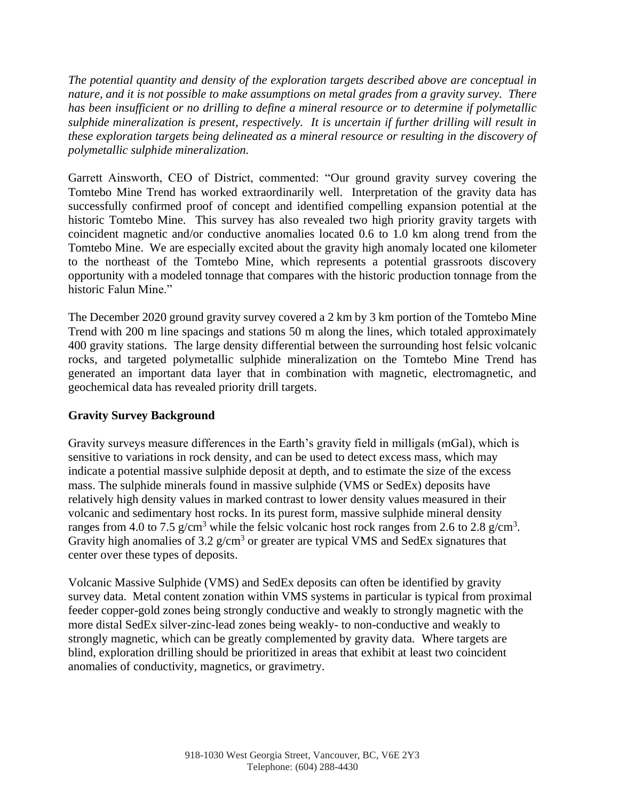*The potential quantity and density of the exploration targets described above are conceptual in nature, and it is not possible to make assumptions on metal grades from a gravity survey. There has been insufficient or no drilling to define a mineral resource or to determine if polymetallic sulphide mineralization is present, respectively. It is uncertain if further drilling will result in these exploration targets being delineated as a mineral resource or resulting in the discovery of polymetallic sulphide mineralization.*

Garrett Ainsworth, CEO of District, commented: "Our ground gravity survey covering the Tomtebo Mine Trend has worked extraordinarily well. Interpretation of the gravity data has successfully confirmed proof of concept and identified compelling expansion potential at the historic Tomtebo Mine. This survey has also revealed two high priority gravity targets with coincident magnetic and/or conductive anomalies located 0.6 to 1.0 km along trend from the Tomtebo Mine. We are especially excited about the gravity high anomaly located one kilometer to the northeast of the Tomtebo Mine, which represents a potential grassroots discovery opportunity with a modeled tonnage that compares with the historic production tonnage from the historic Falun Mine."

The December 2020 ground gravity survey covered a 2 km by 3 km portion of the Tomtebo Mine Trend with 200 m line spacings and stations 50 m along the lines, which totaled approximately 400 gravity stations. The large density differential between the surrounding host felsic volcanic rocks, and targeted polymetallic sulphide mineralization on the Tomtebo Mine Trend has generated an important data layer that in combination with magnetic, electromagnetic, and geochemical data has revealed priority drill targets.

## **Gravity Survey Background**

Gravity surveys measure differences in the Earth's gravity field in milligals (mGal), which is sensitive to variations in rock density, and can be used to detect excess mass, which may indicate a potential massive sulphide deposit at depth, and to estimate the size of the excess mass. The sulphide minerals found in massive sulphide (VMS or SedEx) deposits have relatively high density values in marked contrast to lower density values measured in their volcanic and sedimentary host rocks. In its purest form, massive sulphide mineral density ranges from 4.0 to 7.5 g/cm<sup>3</sup> while the felsic volcanic host rock ranges from 2.6 to 2.8 g/cm<sup>3</sup>. Gravity high anomalies of 3.2  $g/cm<sup>3</sup>$  or greater are typical VMS and SedEx signatures that center over these types of deposits.

Volcanic Massive Sulphide (VMS) and SedEx deposits can often be identified by gravity survey data. Metal content zonation within VMS systems in particular is typical from proximal feeder copper-gold zones being strongly conductive and weakly to strongly magnetic with the more distal SedEx silver-zinc-lead zones being weakly- to non-conductive and weakly to strongly magnetic, which can be greatly complemented by gravity data. Where targets are blind, exploration drilling should be prioritized in areas that exhibit at least two coincident anomalies of conductivity, magnetics, or gravimetry.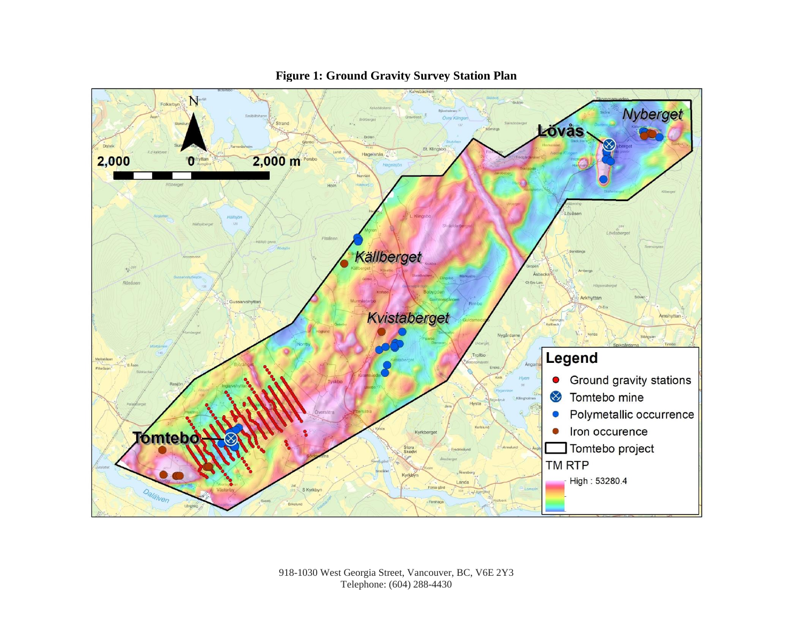

### **Figure 1: Ground Gravity Survey Station Plan**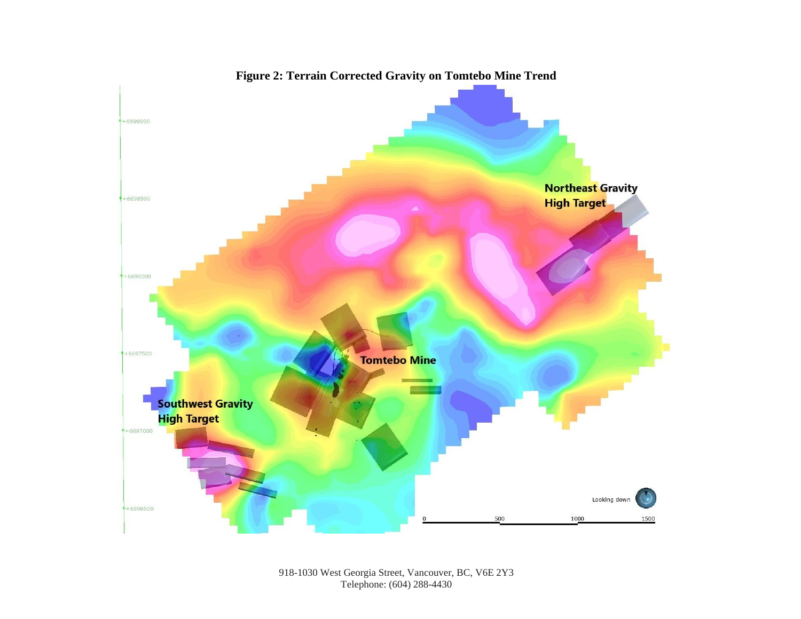

# **Figure 2: Terrain Corrected Gravity on Tomtebo Mine Trend**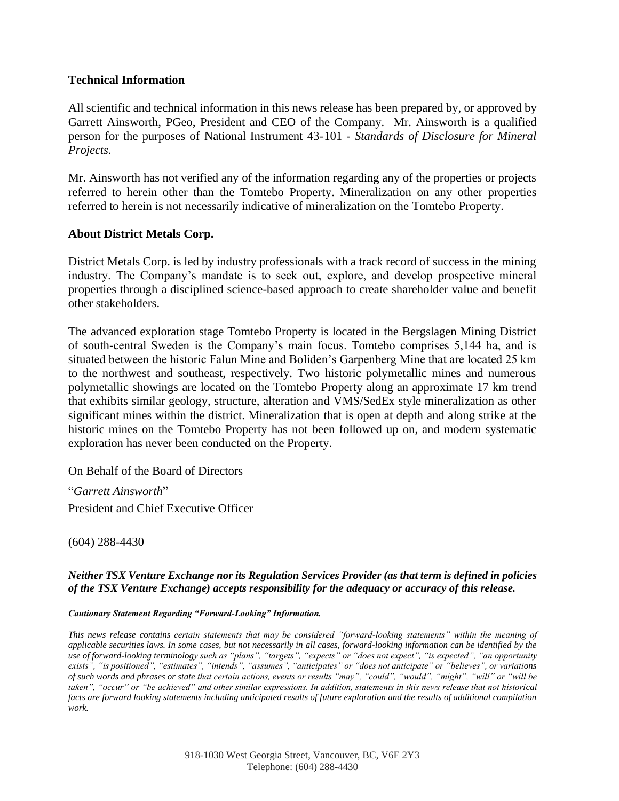### **Technical Information**

All scientific and technical information in this news release has been prepared by, or approved by Garrett Ainsworth, PGeo, President and CEO of the Company. Mr. Ainsworth is a qualified person for the purposes of National Instrument 43-101 - *Standards of Disclosure for Mineral Projects.*

Mr. Ainsworth has not verified any of the information regarding any of the properties or projects referred to herein other than the Tomtebo Property. Mineralization on any other properties referred to herein is not necessarily indicative of mineralization on the Tomtebo Property.

### **About District Metals Corp.**

District Metals Corp. is led by industry professionals with a track record of success in the mining industry. The Company's mandate is to seek out, explore, and develop prospective mineral properties through a disciplined science-based approach to create shareholder value and benefit other stakeholders.

The advanced exploration stage Tomtebo Property is located in the Bergslagen Mining District of south-central Sweden is the Company's main focus. Tomtebo comprises 5,144 ha, and is situated between the historic Falun Mine and Boliden's Garpenberg Mine that are located 25 km to the northwest and southeast, respectively. Two historic polymetallic mines and numerous polymetallic showings are located on the Tomtebo Property along an approximate 17 km trend that exhibits similar geology, structure, alteration and VMS/SedEx style mineralization as other significant mines within the district. Mineralization that is open at depth and along strike at the historic mines on the Tomtebo Property has not been followed up on, and modern systematic exploration has never been conducted on the Property.

On Behalf of the Board of Directors

"*Garrett Ainsworth*" President and Chief Executive Officer

(604) 288-4430

#### *Neither TSX Venture Exchange nor its Regulation Services Provider (as that term is defined in policies of the TSX Venture Exchange) accepts responsibility for the adequacy or accuracy of this release.*

#### *Cautionary Statement Regarding "Forward-Looking" Information.*

*This news release contains certain statements that may be considered "forward-looking statements" within the meaning of applicable securities laws. In some cases, but not necessarily in all cases, forward-looking information can be identified by the use of forward-looking terminology such as "plans", "targets", "expects" or "does not expect", "is expected", "an opportunity exists", "is positioned", "estimates", "intends", "assumes", "anticipates" or "does not anticipate" or "believes", or variations of such words and phrases or state that certain actions, events or results "may", "could", "would", "might", "will" or "will be taken", "occur" or "be achieved" and other similar expressions. In addition, statements in this news release that not historical facts are forward looking statements including anticipated results of future exploration and the results of additional compilation work.*